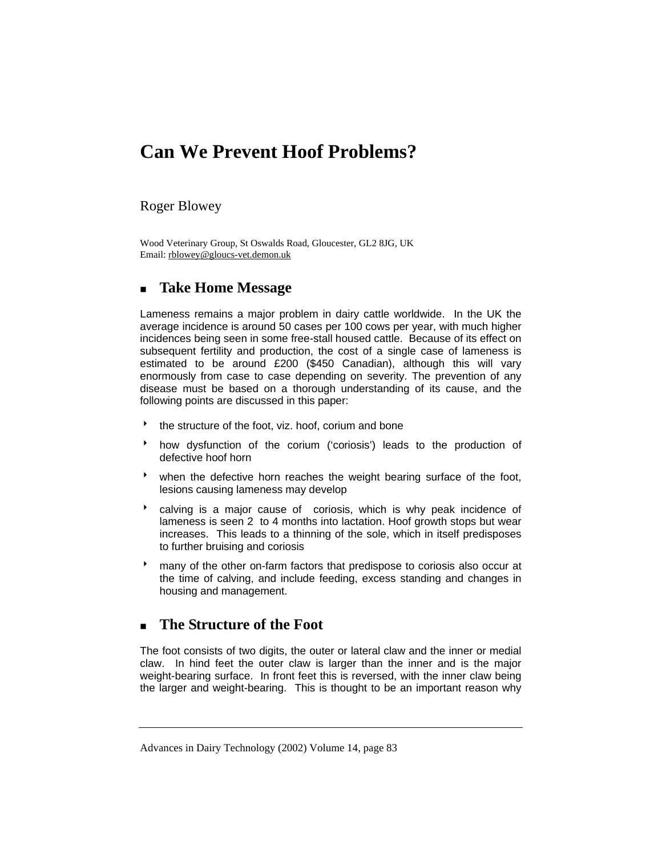## **Can We Prevent Hoof Problems?**

#### Roger Blowey

Wood Veterinary Group, St Oswalds Road, Gloucester, GL2 8JG, UK Email: rblowey@gloucs-vet.demon.uk

## **Take Home Message**

Lameness remains a major problem in dairy cattle worldwide. In the UK the average incidence is around 50 cases per 100 cows per year, with much higher incidences being seen in some free-stall housed cattle. Because of its effect on subsequent fertility and production, the cost of a single case of lameness is estimated to be around £200 (\$450 Canadian), although this will vary enormously from case to case depending on severity. The prevention of any disease must be based on a thorough understanding of its cause, and the following points are discussed in this paper:

- $\bullet$  the structure of the foot, viz. hoof, corium and bone
- how dysfunction of the corium ('coriosis') leads to the production of defective hoof horn
- when the defective horn reaches the weight bearing surface of the foot, lesions causing lameness may develop
- $\bullet$  calving is a major cause of coriosis, which is why peak incidence of lameness is seen 2 to 4 months into lactation. Hoof growth stops but wear increases. This leads to a thinning of the sole, which in itself predisposes to further bruising and coriosis
- 8 many of the other on-farm factors that predispose to coriosis also occur at the time of calving, and include feeding, excess standing and changes in housing and management.

## **The Structure of the Foot**

The foot consists of two digits, the outer or lateral claw and the inner or medial claw. In hind feet the outer claw is larger than the inner and is the major weight-bearing surface. In front feet this is reversed, with the inner claw being the larger and weight-bearing. This is thought to be an important reason why

Advances in Dairy Technology (2002) Volume 14, page 83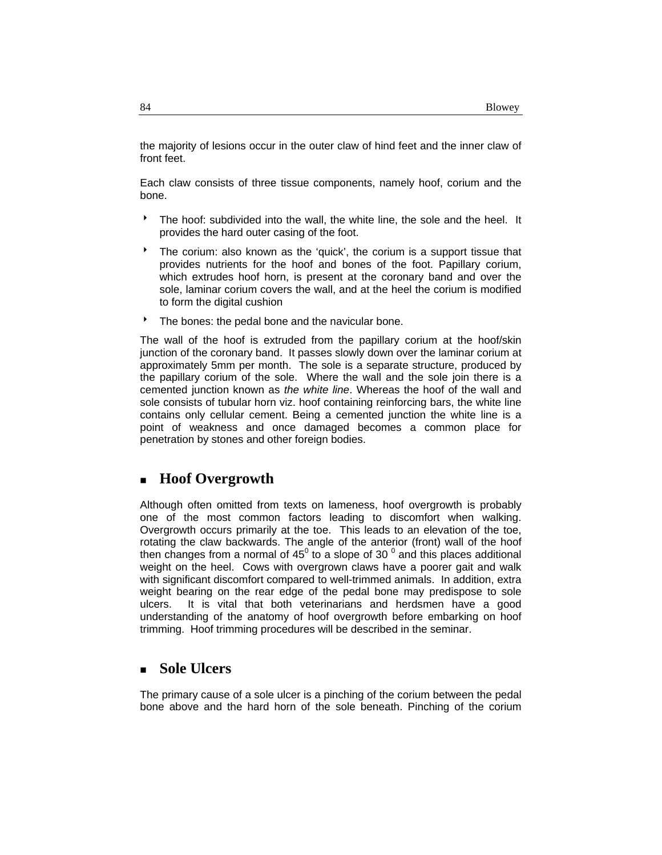the majority of lesions occur in the outer claw of hind feet and the inner claw of front feet.

Each claw consists of three tissue components, namely hoof, corium and the bone.

- <sup>t</sup> The hoof: subdivided into the wall, the white line, the sole and the heel. It provides the hard outer casing of the foot.
- The corium: also known as the 'quick', the corium is a support tissue that provides nutrients for the hoof and bones of the foot. Papillary corium, which extrudes hoof horn, is present at the coronary band and over the sole, laminar corium covers the wall, and at the heel the corium is modified to form the digital cushion
- The bones: the pedal bone and the navicular bone.

The wall of the hoof is extruded from the papillary corium at the hoof/skin junction of the coronary band. It passes slowly down over the laminar corium at approximately 5mm per month. The sole is a separate structure, produced by the papillary corium of the sole. Where the wall and the sole join there is a cemented junction known as *the white line*. Whereas the hoof of the wall and sole consists of tubular horn viz. hoof containing reinforcing bars, the white line contains only cellular cement. Being a cemented junction the white line is a point of weakness and once damaged becomes a common place for penetration by stones and other foreign bodies.

## **Hoof Overgrowth**

Although often omitted from texts on lameness, hoof overgrowth is probably one of the most common factors leading to discomfort when walking. Overgrowth occurs primarily at the toe. This leads to an elevation of the toe, rotating the claw backwards. The angle of the anterior (front) wall of the hoof then changes from a normal of 45 $^{\circ}$  to a slope of 30  $^{\circ}$  and this places additional weight on the heel. Cows with overgrown claws have a poorer gait and walk with significant discomfort compared to well-trimmed animals. In addition, extra weight bearing on the rear edge of the pedal bone may predispose to sole ulcers. It is vital that both veterinarians and herdsmen have a good understanding of the anatomy of hoof overgrowth before embarking on hoof trimming. Hoof trimming procedures will be described in the seminar.

### **Sole Ulcers**

The primary cause of a sole ulcer is a pinching of the corium between the pedal bone above and the hard horn of the sole beneath. Pinching of the corium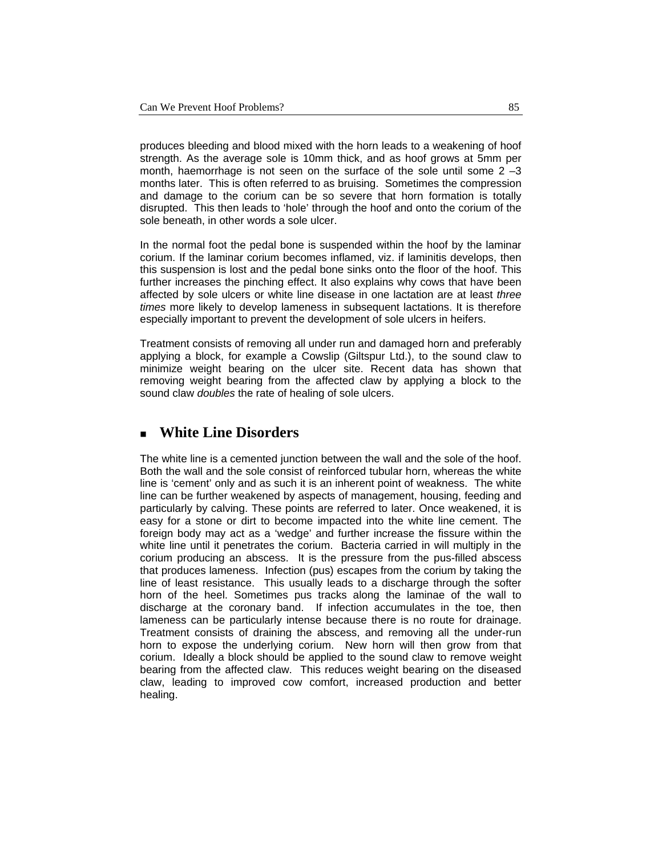produces bleeding and blood mixed with the horn leads to a weakening of hoof strength. As the average sole is 10mm thick, and as hoof grows at 5mm per month, haemorrhage is not seen on the surface of the sole until some  $2 - 3$ months later. This is often referred to as bruising. Sometimes the compression and damage to the corium can be so severe that horn formation is totally disrupted. This then leads to 'hole' through the hoof and onto the corium of the sole beneath, in other words a sole ulcer.

In the normal foot the pedal bone is suspended within the hoof by the laminar corium. If the laminar corium becomes inflamed, viz. if laminitis develops, then this suspension is lost and the pedal bone sinks onto the floor of the hoof. This further increases the pinching effect. It also explains why cows that have been affected by sole ulcers or white line disease in one lactation are at least *three times* more likely to develop lameness in subsequent lactations. It is therefore especially important to prevent the development of sole ulcers in heifers.

Treatment consists of removing all under run and damaged horn and preferably applying a block, for example a Cowslip (Giltspur Ltd.), to the sound claw to minimize weight bearing on the ulcer site. Recent data has shown that removing weight bearing from the affected claw by applying a block to the sound claw *doubles* the rate of healing of sole ulcers.

## **White Line Disorders**

The white line is a cemented junction between the wall and the sole of the hoof. Both the wall and the sole consist of reinforced tubular horn, whereas the white line is 'cement' only and as such it is an inherent point of weakness. The white line can be further weakened by aspects of management, housing, feeding and particularly by calving. These points are referred to later. Once weakened, it is easy for a stone or dirt to become impacted into the white line cement. The foreign body may act as a 'wedge' and further increase the fissure within the white line until it penetrates the corium. Bacteria carried in will multiply in the corium producing an abscess. It is the pressure from the pus-filled abscess that produces lameness. Infection (pus) escapes from the corium by taking the line of least resistance. This usually leads to a discharge through the softer horn of the heel. Sometimes pus tracks along the laminae of the wall to discharge at the coronary band. If infection accumulates in the toe, then lameness can be particularly intense because there is no route for drainage. Treatment consists of draining the abscess, and removing all the under-run horn to expose the underlying corium. New horn will then grow from that corium. Ideally a block should be applied to the sound claw to remove weight bearing from the affected claw. This reduces weight bearing on the diseased claw, leading to improved cow comfort, increased production and better healing.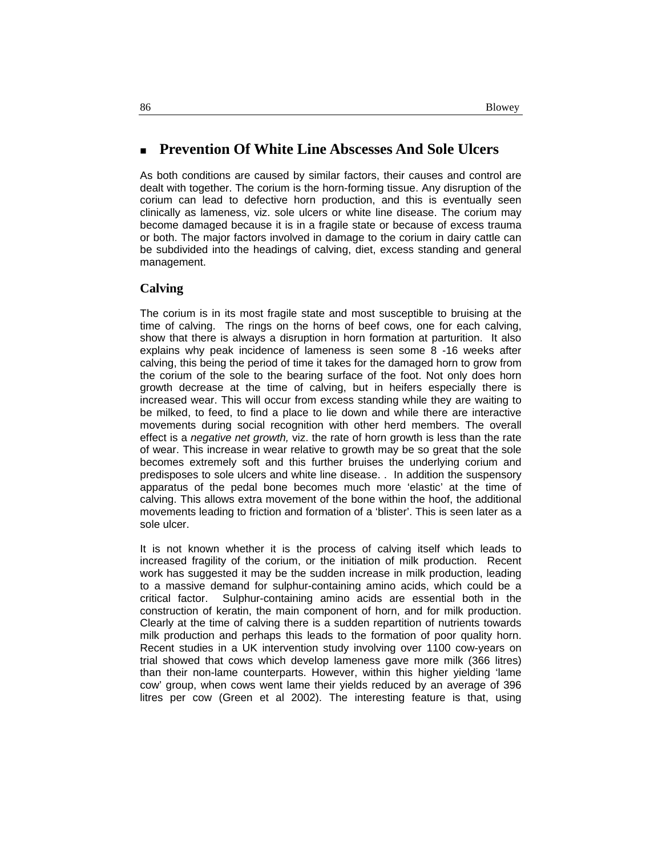## **Prevention Of White Line Abscesses And Sole Ulcers**

As both conditions are caused by similar factors, their causes and control are dealt with together. The corium is the horn-forming tissue. Any disruption of the corium can lead to defective horn production, and this is eventually seen clinically as lameness, viz. sole ulcers or white line disease. The corium may become damaged because it is in a fragile state or because of excess trauma or both. The major factors involved in damage to the corium in dairy cattle can be subdivided into the headings of calving, diet, excess standing and general management.

#### **Calving**

The corium is in its most fragile state and most susceptible to bruising at the time of calving. The rings on the horns of beef cows, one for each calving, show that there is always a disruption in horn formation at parturition. It also explains why peak incidence of lameness is seen some 8 -16 weeks after calving, this being the period of time it takes for the damaged horn to grow from the corium of the sole to the bearing surface of the foot. Not only does horn growth decrease at the time of calving, but in heifers especially there is increased wear. This will occur from excess standing while they are waiting to be milked, to feed, to find a place to lie down and while there are interactive movements during social recognition with other herd members. The overall effect is a *negative net growth,* viz. the rate of horn growth is less than the rate of wear. This increase in wear relative to growth may be so great that the sole becomes extremely soft and this further bruises the underlying corium and predisposes to sole ulcers and white line disease. . In addition the suspensory apparatus of the pedal bone becomes much more 'elastic' at the time of calving. This allows extra movement of the bone within the hoof, the additional movements leading to friction and formation of a 'blister'. This is seen later as a sole ulcer.

It is not known whether it is the process of calving itself which leads to increased fragility of the corium, or the initiation of milk production. Recent work has suggested it may be the sudden increase in milk production, leading to a massive demand for sulphur-containing amino acids, which could be a critical factor. Sulphur-containing amino acids are essential both in the construction of keratin, the main component of horn, and for milk production. Clearly at the time of calving there is a sudden repartition of nutrients towards milk production and perhaps this leads to the formation of poor quality horn. Recent studies in a UK intervention study involving over 1100 cow-years on trial showed that cows which develop lameness gave more milk (366 litres) than their non-lame counterparts. However, within this higher yielding 'lame cow' group, when cows went lame their yields reduced by an average of 396 litres per cow (Green et al 2002). The interesting feature is that, using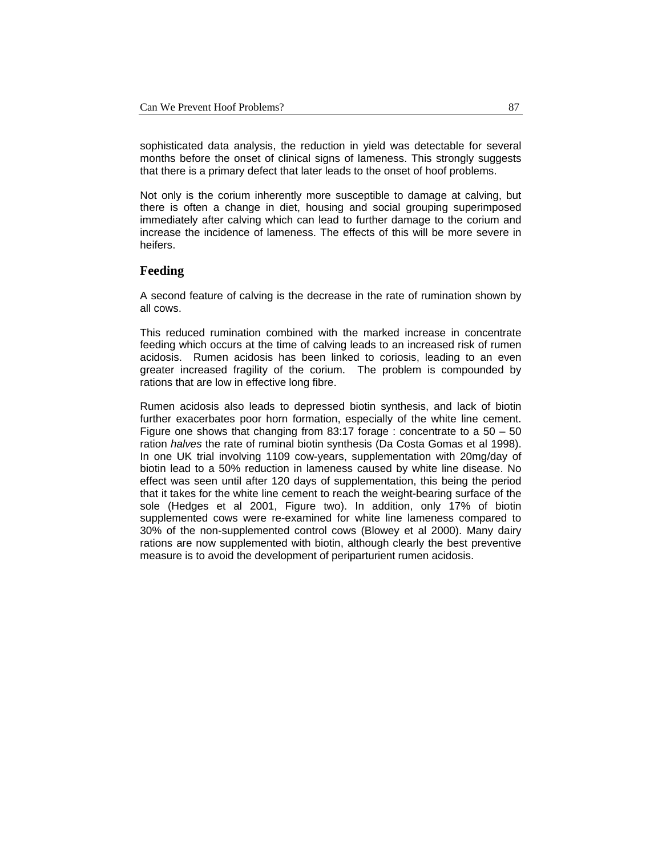sophisticated data analysis, the reduction in yield was detectable for several months before the onset of clinical signs of lameness. This strongly suggests that there is a primary defect that later leads to the onset of hoof problems.

Not only is the corium inherently more susceptible to damage at calving, but there is often a change in diet, housing and social grouping superimposed immediately after calving which can lead to further damage to the corium and increase the incidence of lameness. The effects of this will be more severe in heifers.

#### **Feeding**

A second feature of calving is the decrease in the rate of rumination shown by all cows.

This reduced rumination combined with the marked increase in concentrate feeding which occurs at the time of calving leads to an increased risk of rumen acidosis. Rumen acidosis has been linked to coriosis, leading to an even greater increased fragility of the corium. The problem is compounded by rations that are low in effective long fibre.

Rumen acidosis also leads to depressed biotin synthesis, and lack of biotin further exacerbates poor horn formation, especially of the white line cement. Figure one shows that changing from 83:17 forage : concentrate to a 50 – 50 ration *halves* the rate of ruminal biotin synthesis (Da Costa Gomas et al 1998). In one UK trial involving 1109 cow-years, supplementation with 20mg/day of biotin lead to a 50% reduction in lameness caused by white line disease. No effect was seen until after 120 days of supplementation, this being the period that it takes for the white line cement to reach the weight-bearing surface of the sole (Hedges et al 2001, Figure two). In addition, only 17% of biotin supplemented cows were re-examined for white line lameness compared to 30% of the non-supplemented control cows (Blowey et al 2000). Many dairy rations are now supplemented with biotin, although clearly the best preventive measure is to avoid the development of periparturient rumen acidosis.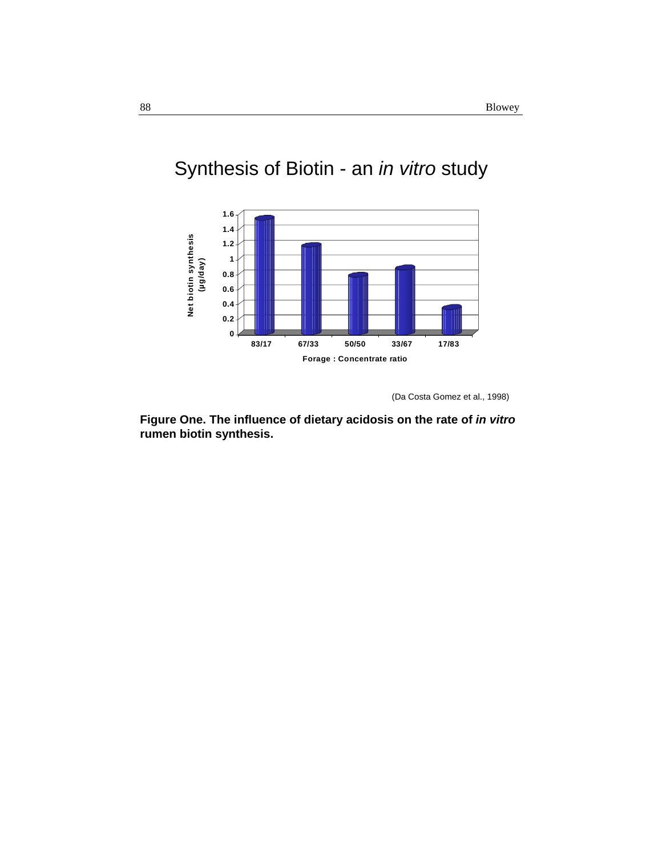

# Synthesis of Biotin - an *in vitro* study

(Da Costa Gomez et al., 1998)

**Figure One. The influence of dietary acidosis on the rate of** *in vitro* **rumen biotin synthesis.**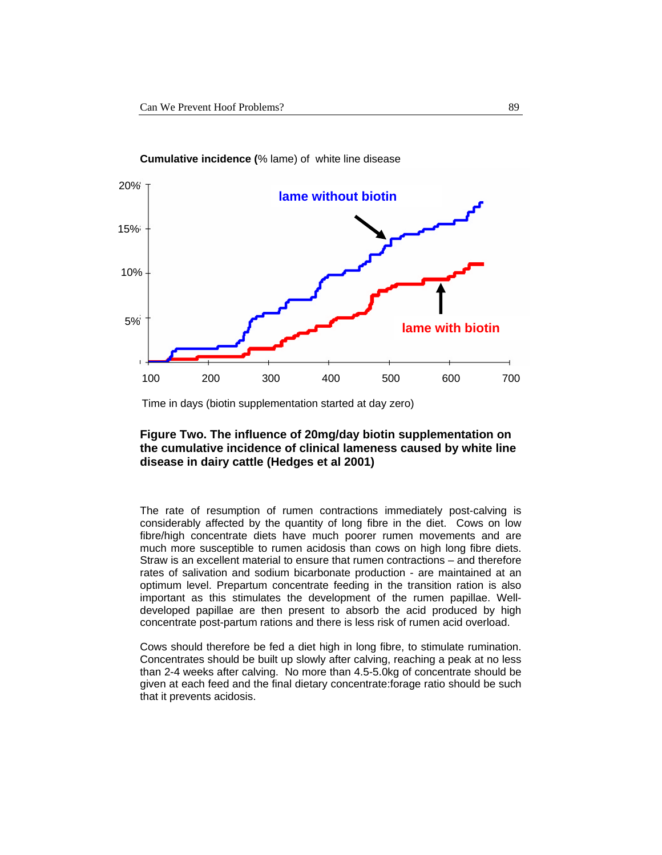

**Cumulative incidence (**% lame) of white line disease

Time in days (biotin supplementation started at day zero)

#### **Figure Two. The influence of 20mg/day biotin supplementation on the cumulative incidence of clinical lameness caused by white line disease in dairy cattle (Hedges et al 2001)**

The rate of resumption of rumen contractions immediately post-calving is considerably affected by the quantity of long fibre in the diet. Cows on low fibre/high concentrate diets have much poorer rumen movements and are much more susceptible to rumen acidosis than cows on high long fibre diets. Straw is an excellent material to ensure that rumen contractions – and therefore rates of salivation and sodium bicarbonate production - are maintained at an optimum level. Prepartum concentrate feeding in the transition ration is also important as this stimulates the development of the rumen papillae. Welldeveloped papillae are then present to absorb the acid produced by high concentrate post-partum rations and there is less risk of rumen acid overload.

Cows should therefore be fed a diet high in long fibre, to stimulate rumination. Concentrates should be built up slowly after calving, reaching a peak at no less than 2-4 weeks after calving. No more than 4.5-5.0kg of concentrate should be given at each feed and the final dietary concentrate:forage ratio should be such that it prevents acidosis.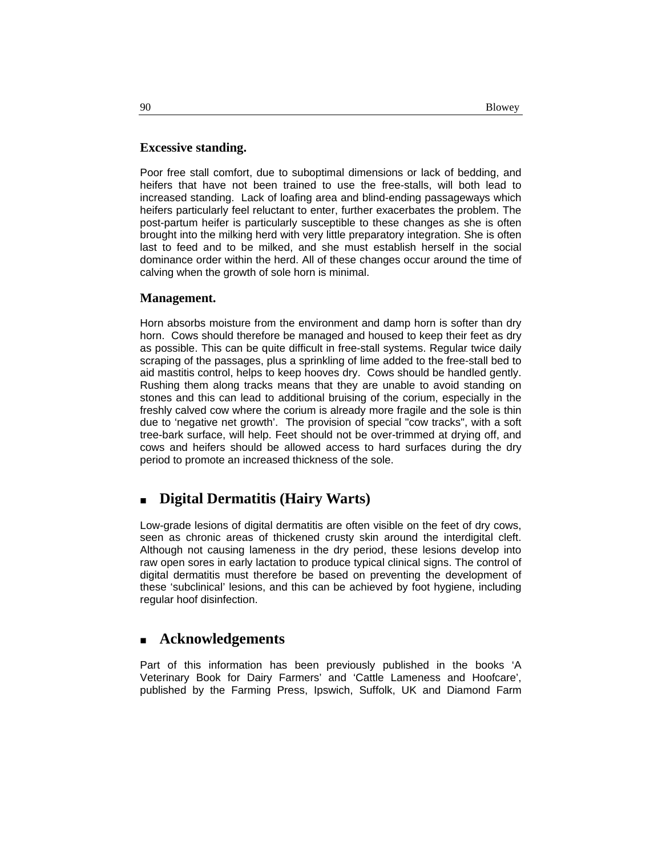#### **Excessive standing.**

Poor free stall comfort, due to suboptimal dimensions or lack of bedding, and heifers that have not been trained to use the free-stalls, will both lead to increased standing. Lack of loafing area and blind-ending passageways which heifers particularly feel reluctant to enter, further exacerbates the problem. The post-partum heifer is particularly susceptible to these changes as she is often brought into the milking herd with very little preparatory integration. She is often last to feed and to be milked, and she must establish herself in the social dominance order within the herd. All of these changes occur around the time of calving when the growth of sole horn is minimal.

#### **Management.**

Horn absorbs moisture from the environment and damp horn is softer than dry horn. Cows should therefore be managed and housed to keep their feet as dry as possible. This can be quite difficult in free-stall systems. Regular twice daily scraping of the passages, plus a sprinkling of lime added to the free-stall bed to aid mastitis control, helps to keep hooves dry. Cows should be handled gently. Rushing them along tracks means that they are unable to avoid standing on stones and this can lead to additional bruising of the corium, especially in the freshly calved cow where the corium is already more fragile and the sole is thin due to 'negative net growth'. The provision of special "cow tracks", with a soft tree-bark surface, will help. Feet should not be over-trimmed at drying off, and cows and heifers should be allowed access to hard surfaces during the dry period to promote an increased thickness of the sole.

## **Digital Dermatitis (Hairy Warts)**

Low-grade lesions of digital dermatitis are often visible on the feet of dry cows, seen as chronic areas of thickened crusty skin around the interdigital cleft. Although not causing lameness in the dry period, these lesions develop into raw open sores in early lactation to produce typical clinical signs. The control of digital dermatitis must therefore be based on preventing the development of these 'subclinical' lesions, and this can be achieved by foot hygiene, including regular hoof disinfection.

#### **Acknowledgements**

Part of this information has been previously published in the books 'A Veterinary Book for Dairy Farmers' and 'Cattle Lameness and Hoofcare', published by the Farming Press, Ipswich, Suffolk, UK and Diamond Farm